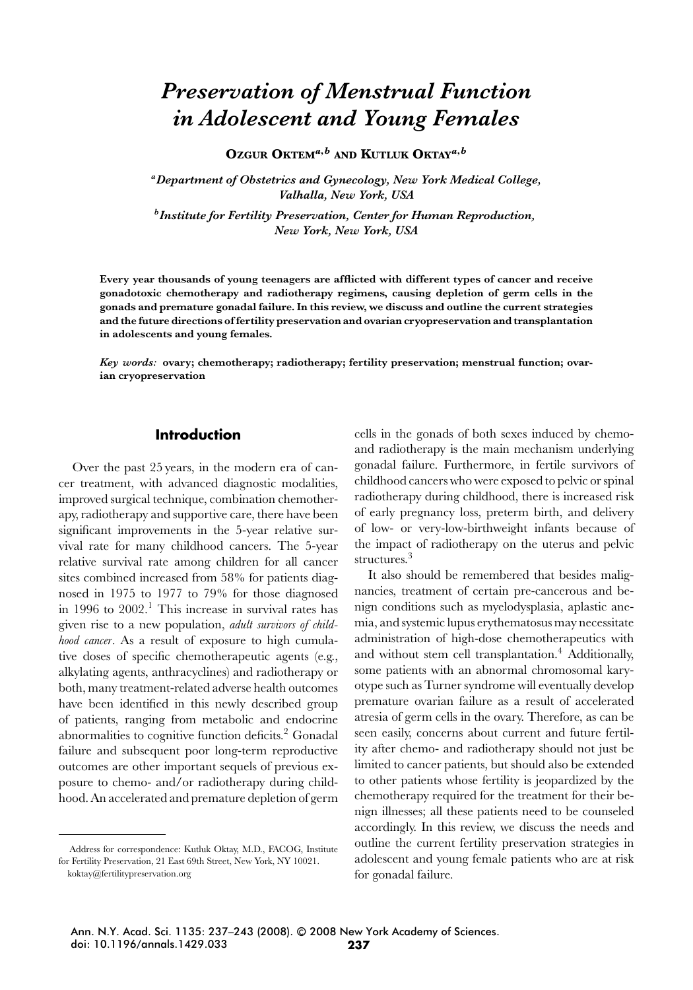# *Preservation of Menstrual Function in Adolescent and Young Females*

**OZGUR OKTEM***a***,***<sup>b</sup>* **AND KUTLUK OKTAY***a***,***<sup>b</sup>*

*aDepartment of Obstetrics and Gynecology, New York Medical College, Valhalla, New York, USA*

*bInstitute for Fertility Preservation, Center for Human Reproduction, New York, New York, USA*

**Every year thousands of young teenagers are afflicted with different types of cancer and receive gonadotoxic chemotherapy and radiotherapy regimens, causing depletion of germ cells in the gonads and premature gonadal failure. In this review, we discuss and outline the current strategies and the future directions of fertility preservation and ovarian cryopreservation and transplantation in adolescents and young females.**

*Key words:* **ovary; chemotherapy; radiotherapy; fertility preservation; menstrual function; ovarian cryopreservation**

## **Introduction**

Over the past 25 years, in the modern era of cancer treatment, with advanced diagnostic modalities, improved surgical technique, combination chemotherapy, radiotherapy and supportive care, there have been significant improvements in the 5-year relative survival rate for many childhood cancers. The 5-year relative survival rate among children for all cancer sites combined increased from 58% for patients diagnosed in 1975 to 1977 to 79% for those diagnosed in 1996 to  $2002<sup>1</sup>$ . This increase in survival rates has given rise to a new population, *adult survivors of childhood cancer*. As a result of exposure to high cumulative doses of specific chemotherapeutic agents (e.g., alkylating agents, anthracyclines) and radiotherapy or both, many treatment-related adverse health outcomes have been identified in this newly described group of patients, ranging from metabolic and endocrine abnormalities to cognitive function deficits.<sup>2</sup> Gonadal failure and subsequent poor long-term reproductive outcomes are other important sequels of previous exposure to chemo- and/or radiotherapy during childhood. An accelerated and premature depletion of germ cells in the gonads of both sexes induced by chemoand radiotherapy is the main mechanism underlying gonadal failure. Furthermore, in fertile survivors of childhood cancers who were exposed to pelvic or spinal radiotherapy during childhood, there is increased risk of early pregnancy loss, preterm birth, and delivery of low- or very-low-birthweight infants because of the impact of radiotherapy on the uterus and pelvic structures.<sup>3</sup>

It also should be remembered that besides malignancies, treatment of certain pre-cancerous and benign conditions such as myelodysplasia, aplastic anemia, and systemic lupus erythematosus may necessitate administration of high-dose chemotherapeutics with and without stem cell transplantation.<sup>4</sup> Additionally, some patients with an abnormal chromosomal karyotype such as Turner syndrome will eventually develop premature ovarian failure as a result of accelerated atresia of germ cells in the ovary. Therefore, as can be seen easily, concerns about current and future fertility after chemo- and radiotherapy should not just be limited to cancer patients, but should also be extended to other patients whose fertility is jeopardized by the chemotherapy required for the treatment for their benign illnesses; all these patients need to be counseled accordingly. In this review, we discuss the needs and outline the current fertility preservation strategies in adolescent and young female patients who are at risk for gonadal failure.

Address for correspondence: Kutluk Oktay, M.D., FACOG, Institute for Fertility Preservation, 21 East 69th Street, New York, NY 10021.

koktay@fertilitypreservation.org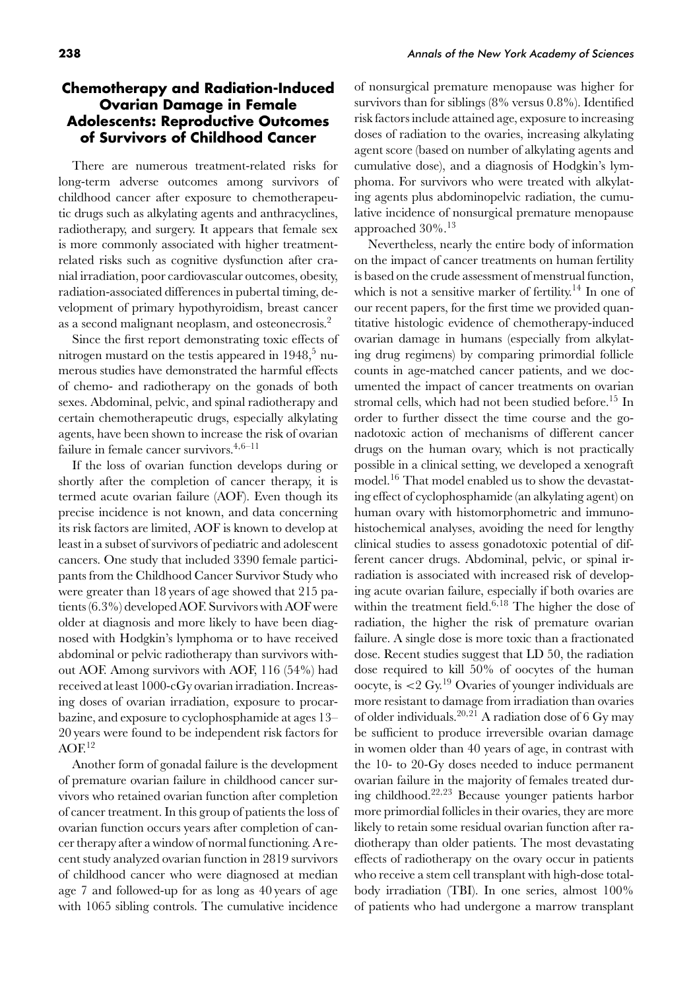## **Chemotherapy and Radiation-Induced Ovarian Damage in Female Adolescents: Reproductive Outcomes of Survivors of Childhood Cancer**

There are numerous treatment-related risks for long-term adverse outcomes among survivors of childhood cancer after exposure to chemotherapeutic drugs such as alkylating agents and anthracyclines, radiotherapy, and surgery. It appears that female sex is more commonly associated with higher treatmentrelated risks such as cognitive dysfunction after cranial irradiation, poor cardiovascular outcomes, obesity, radiation-associated differences in pubertal timing, development of primary hypothyroidism, breast cancer as a second malignant neoplasm, and osteonecrosis.<sup>2</sup>

Since the first report demonstrating toxic effects of nitrogen mustard on the testis appeared in  $1948$ ,<sup>5</sup> numerous studies have demonstrated the harmful effects of chemo- and radiotherapy on the gonads of both sexes. Abdominal, pelvic, and spinal radiotherapy and certain chemotherapeutic drugs, especially alkylating agents, have been shown to increase the risk of ovarian failure in female cancer survivors.4*,*6–11

If the loss of ovarian function develops during or shortly after the completion of cancer therapy, it is termed acute ovarian failure (AOF). Even though its precise incidence is not known, and data concerning its risk factors are limited, AOF is known to develop at least in a subset of survivors of pediatric and adolescent cancers. One study that included 3390 female participants from the Childhood Cancer Survivor Study who were greater than 18 years of age showed that 215 patients (6.3%) developed AOF. Survivors with AOF were older at diagnosis and more likely to have been diagnosed with Hodgkin's lymphoma or to have received abdominal or pelvic radiotherapy than survivors without AOF. Among survivors with AOF, 116 (54%) had received at least 1000-cGy ovarian irradiation. Increasing doses of ovarian irradiation, exposure to procarbazine, and exposure to cyclophosphamide at ages 13– 20 years were found to be independent risk factors for  $AOF<sup>12</sup>$ 

Another form of gonadal failure is the development of premature ovarian failure in childhood cancer survivors who retained ovarian function after completion of cancer treatment. In this group of patients the loss of ovarian function occurs years after completion of cancer therapy after a window of normal functioning. A recent study analyzed ovarian function in 2819 survivors of childhood cancer who were diagnosed at median age 7 and followed-up for as long as 40 years of age with 1065 sibling controls. The cumulative incidence of nonsurgical premature menopause was higher for survivors than for siblings (8% versus 0.8%). Identified risk factors include attained age, exposure to increasing doses of radiation to the ovaries, increasing alkylating agent score (based on number of alkylating agents and cumulative dose), and a diagnosis of Hodgkin's lymphoma. For survivors who were treated with alkylating agents plus abdominopelvic radiation, the cumulative incidence of nonsurgical premature menopause approached  $30\%$ .<sup>13</sup>

Nevertheless, nearly the entire body of information on the impact of cancer treatments on human fertility is based on the crude assessment of menstrual function, which is not a sensitive marker of fertility.<sup>14</sup> In one of our recent papers, for the first time we provided quantitative histologic evidence of chemotherapy-induced ovarian damage in humans (especially from alkylating drug regimens) by comparing primordial follicle counts in age-matched cancer patients, and we documented the impact of cancer treatments on ovarian stromal cells, which had not been studied before.<sup>15</sup> In order to further dissect the time course and the gonadotoxic action of mechanisms of different cancer drugs on the human ovary, which is not practically possible in a clinical setting, we developed a xenograft model.<sup>16</sup> That model enabled us to show the devastating effect of cyclophosphamide (an alkylating agent) on human ovary with histomorphometric and immunohistochemical analyses, avoiding the need for lengthy clinical studies to assess gonadotoxic potential of different cancer drugs. Abdominal, pelvic, or spinal irradiation is associated with increased risk of developing acute ovarian failure, especially if both ovaries are within the treatment field.<sup>6</sup>*,*<sup>18</sup> The higher the dose of radiation, the higher the risk of premature ovarian failure. A single dose is more toxic than a fractionated dose. Recent studies suggest that LD 50, the radiation dose required to kill 50% of oocytes of the human oocyte, is *<*2 Gy.<sup>19</sup> Ovaries of younger individuals are more resistant to damage from irradiation than ovaries of older individuals.<sup>20</sup>*,*<sup>21</sup> A radiation dose of 6 Gy may be sufficient to produce irreversible ovarian damage in women older than 40 years of age, in contrast with the 10- to 20-Gy doses needed to induce permanent ovarian failure in the majority of females treated during childhood.<sup>22</sup>*,*<sup>23</sup> Because younger patients harbor more primordial follicles in their ovaries, they are more likely to retain some residual ovarian function after radiotherapy than older patients. The most devastating effects of radiotherapy on the ovary occur in patients who receive a stem cell transplant with high-dose totalbody irradiation (TBI). In one series, almost 100% of patients who had undergone a marrow transplant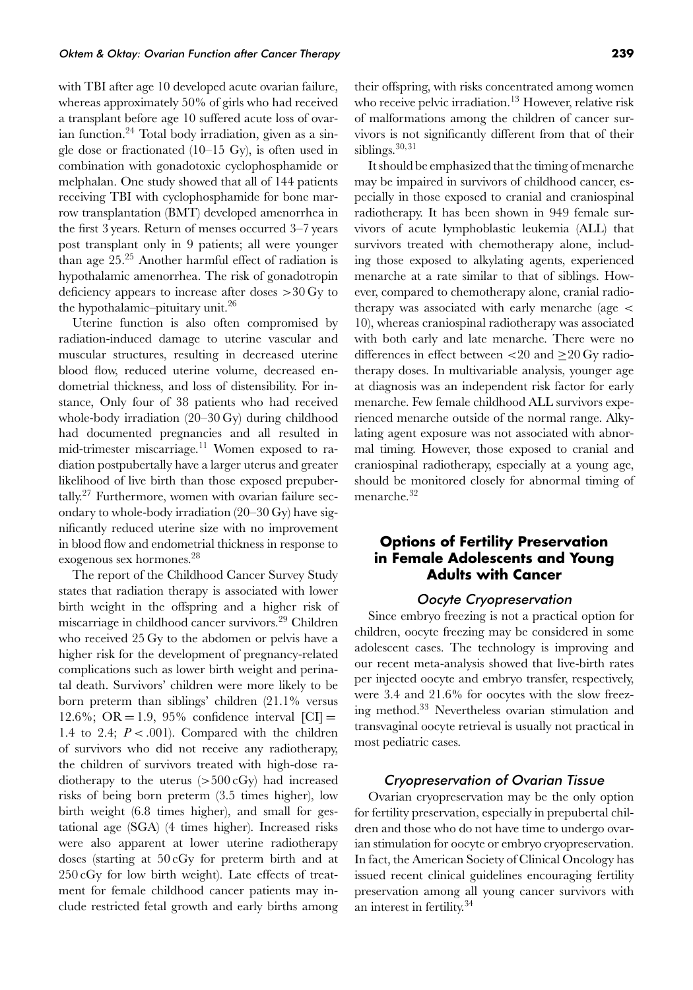## Oktem & Oktay: Ovarian Function after Cancer Therapy **239**

with TBI after age 10 developed acute ovarian failure, whereas approximately 50% of girls who had received a transplant before age 10 suffered acute loss of ovarian function. $24$  Total body irradiation, given as a single dose or fractionated (10–15 Gy), is often used in combination with gonadotoxic cyclophosphamide or melphalan. One study showed that all of 144 patients receiving TBI with cyclophosphamide for bone marrow transplantation (BMT) developed amenorrhea in the first 3 years. Return of menses occurred 3–7 years post transplant only in 9 patients; all were younger than age  $25.^{25}$  Another harmful effect of radiation is hypothalamic amenorrhea. The risk of gonadotropin deficiency appears to increase after doses *>*30 Gy to the hypothalamic–pituitary unit.<sup>26</sup>

Uterine function is also often compromised by radiation-induced damage to uterine vascular and muscular structures, resulting in decreased uterine blood flow, reduced uterine volume, decreased endometrial thickness, and loss of distensibility. For instance, Only four of 38 patients who had received whole-body irradiation (20–30 Gy) during childhood had documented pregnancies and all resulted in mid-trimester miscarriage.<sup>11</sup> Women exposed to radiation postpubertally have a larger uterus and greater likelihood of live birth than those exposed prepuber $t$ ally.<sup>27</sup> Furthermore, women with ovarian failure secondary to whole-body irradiation (20–30 Gy) have significantly reduced uterine size with no improvement in blood flow and endometrial thickness in response to exogenous sex hormones.28

The report of the Childhood Cancer Survey Study states that radiation therapy is associated with lower birth weight in the offspring and a higher risk of miscarriage in childhood cancer survivors.29 Children who received 25 Gy to the abdomen or pelvis have a higher risk for the development of pregnancy-related complications such as lower birth weight and perinatal death. Survivors' children were more likely to be born preterm than siblings' children (21.1% versus 12.6%; OR = 1.9, 95% confidence interval  $\text{[CI]} =$ 1.4 to 2.4;  $P < .001$ ). Compared with the children of survivors who did not receive any radiotherapy, the children of survivors treated with high-dose radiotherapy to the uterus (*>*500 cGy) had increased risks of being born preterm (3.5 times higher), low birth weight (6.8 times higher), and small for gestational age (SGA) (4 times higher). Increased risks were also apparent at lower uterine radiotherapy doses (starting at 50 cGy for preterm birth and at 250 cGy for low birth weight). Late effects of treatment for female childhood cancer patients may include restricted fetal growth and early births among their offspring, with risks concentrated among women who receive pelvic irradiation.<sup>13</sup> However, relative risk of malformations among the children of cancer survivors is not significantly different from that of their siblings.<sup>30</sup>*,*<sup>31</sup>

It should be emphasized that the timing of menarche may be impaired in survivors of childhood cancer, especially in those exposed to cranial and craniospinal radiotherapy. It has been shown in 949 female survivors of acute lymphoblastic leukemia (ALL) that survivors treated with chemotherapy alone, including those exposed to alkylating agents, experienced menarche at a rate similar to that of siblings. However, compared to chemotherapy alone, cranial radiotherapy was associated with early menarche (age *<* 10), whereas craniospinal radiotherapy was associated with both early and late menarche. There were no differences in effect between *<*20 and ≥20 Gy radiotherapy doses. In multivariable analysis, younger age at diagnosis was an independent risk factor for early menarche. Few female childhood ALL survivors experienced menarche outside of the normal range. Alkylating agent exposure was not associated with abnormal timing. However, those exposed to cranial and craniospinal radiotherapy, especially at a young age, should be monitored closely for abnormal timing of menarche.<sup>32</sup>

## **Options of Fertility Preservation in Female Adolescents and Young Adults with Cancer**

#### Oocyte Cryopreservation

Since embryo freezing is not a practical option for children, oocyte freezing may be considered in some adolescent cases. The technology is improving and our recent meta-analysis showed that live-birth rates per injected oocyte and embryo transfer, respectively, were 3.4 and 21.6% for oocytes with the slow freezing method.<sup>33</sup> Nevertheless ovarian stimulation and transvaginal oocyte retrieval is usually not practical in most pediatric cases.

## Cryopreservation of Ovarian Tissue

Ovarian cryopreservation may be the only option for fertility preservation, especially in prepubertal children and those who do not have time to undergo ovarian stimulation for oocyte or embryo cryopreservation. In fact, the American Society of Clinical Oncology has issued recent clinical guidelines encouraging fertility preservation among all young cancer survivors with an interest in fertility.<sup>34</sup>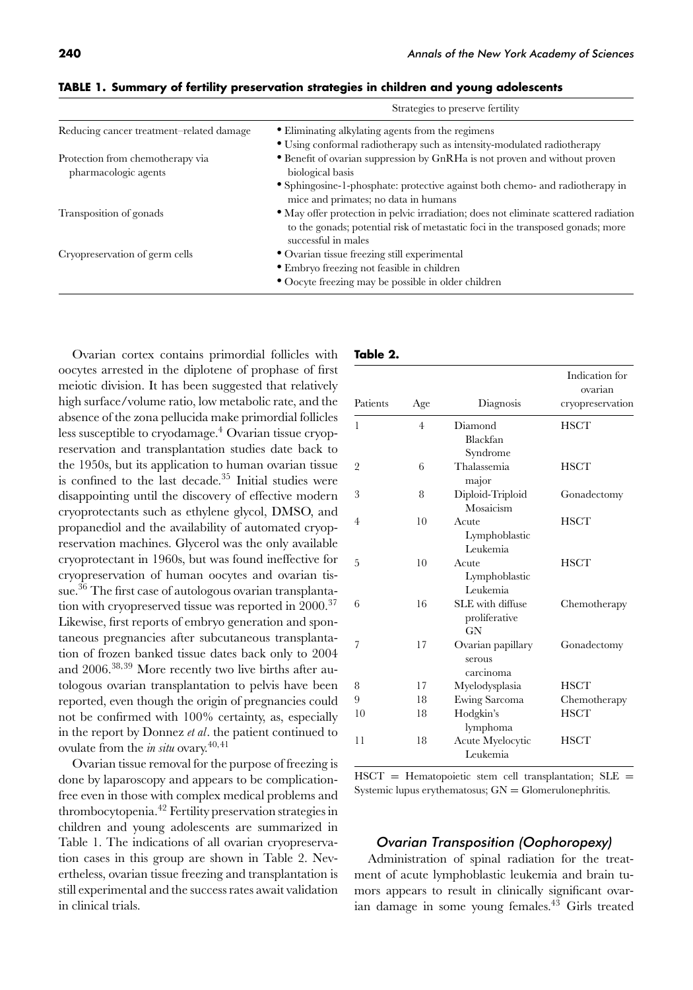|                                                          | Strategies to preserve fertility<br>• Eliminating alkylating agents from the regimens                                                                                                          |  |
|----------------------------------------------------------|------------------------------------------------------------------------------------------------------------------------------------------------------------------------------------------------|--|
| Reducing cancer treatment-related damage                 |                                                                                                                                                                                                |  |
|                                                          | • Using conformal radiotherapy such as intensity-modulated radiotherapy                                                                                                                        |  |
| Protection from chemotherapy via<br>pharmacologic agents | • Benefit of ovarian suppression by GnRHa is not proven and without proven<br>biological basis                                                                                                 |  |
|                                                          | • Sphingosine-1-phosphate: protective against both chemo- and radiotherapy in<br>mice and primates; no data in humans                                                                          |  |
| Transposition of gonads                                  | • May offer protection in pelvic irradiation; does not eliminate scattered radiation<br>to the gonads; potential risk of metastatic foci in the transposed gonads; more<br>successful in males |  |
| Cryopreservation of germ cells                           | • Ovarian tissue freezing still experimental<br>• Embryo freezing not feasible in children<br>• Oocyte freezing may be possible in older children                                              |  |
|                                                          |                                                                                                                                                                                                |  |

**TABLE 1. Summary of fertility preservation strategies in children and young adolescents**

Ovarian cortex contains primordial follicles with oocytes arrested in the diplotene of prophase of first meiotic division. It has been suggested that relatively high surface/volume ratio, low metabolic rate, and the absence of the zona pellucida make primordial follicles less susceptible to cryodamage.<sup>4</sup> Ovarian tissue cryopreservation and transplantation studies date back to the 1950s, but its application to human ovarian tissue is confined to the last decade.<sup>35</sup> Initial studies were disappointing until the discovery of effective modern cryoprotectants such as ethylene glycol, DMSO, and propanediol and the availability of automated cryopreservation machines. Glycerol was the only available cryoprotectant in 1960s, but was found ineffective for cryopreservation of human oocytes and ovarian tissue. $36$  The first case of autologous ovarian transplantation with cryopreserved tissue was reported in 2000.<sup>37</sup> Likewise, first reports of embryo generation and spontaneous pregnancies after subcutaneous transplantation of frozen banked tissue dates back only to 2004 and 2006.38*,*<sup>39</sup> More recently two live births after autologous ovarian transplantation to pelvis have been reported, even though the origin of pregnancies could not be confirmed with 100% certainty, as, especially in the report by Donnez *et al*. the patient continued to ovulate from the *in situ* ovary.<sup>40</sup>*,*<sup>41</sup>

Ovarian tissue removal for the purpose of freezing is done by laparoscopy and appears to be complicationfree even in those with complex medical problems and thrombocytopenia.42 Fertility preservation strategies in children and young adolescents are summarized in Table 1. The indications of all ovarian cryopreservation cases in this group are shown in Table 2. Nevertheless, ovarian tissue freezing and transplantation is still experimental and the success rates await validation in clinical trials.

#### **Table 2.**

| Patients       | Age | Diagnosis                                | Indication for<br>ovarian<br>cryopreservation |
|----------------|-----|------------------------------------------|-----------------------------------------------|
| 1              | 4   | Diamond<br>Blackfan<br>Syndrome          | HSCT                                          |
| $\overline{2}$ | 6   | Thalassemia<br>major                     | <b>HSCT</b>                                   |
| 3              | 8   | Diploid-Triploid<br>Mosaicism            | Gonadectomy                                   |
| 4              | 10  | Acute<br>Lymphoblastic<br>Leukemia       | <b>HSCT</b>                                   |
| 5              | 10  | Acute<br>Lymphoblastic<br>Leukemia       | <b>HSCT</b>                                   |
| 6              | 16  | SLE with diffuse<br>proliferative<br>GN  | Chemotherapy                                  |
| 7              | 17  | Ovarian papillary<br>serous<br>carcinoma | Gonadectomy                                   |
| 8              | 17  | Myelodysplasia                           | <b>HSCT</b>                                   |
| 9              | 18  | Ewing Sarcoma                            | Chemotherapy                                  |
| 10             | 18  | Hodgkin's<br>lymphoma                    | <b>HSCT</b>                                   |
| 11             | 18  | Acute Myelocytic<br>Leukemia             | HSCT                                          |

 $HSCT =$  Hematopoietic stem cell transplantation;  $SLE =$ Systemic lupus erythematosus;  $GN = G$ lomerulonephritis.

#### Ovarian Transposition (Oophoropexy)

Administration of spinal radiation for the treatment of acute lymphoblastic leukemia and brain tumors appears to result in clinically significant ovarian damage in some young females.<sup>43</sup> Girls treated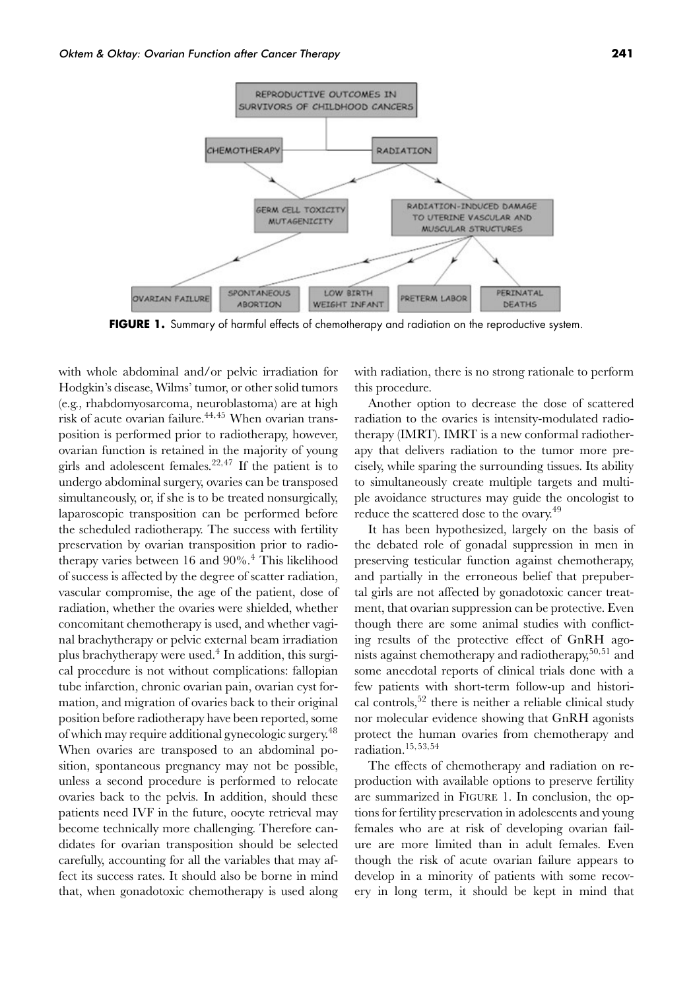

**FIGURE 1.** Summary of harmful effects of chemotherapy and radiation on the reproductive system.

with whole abdominal and/or pelvic irradiation for Hodgkin's disease, Wilms' tumor, or other solid tumors (e.g., rhabdomyosarcoma, neuroblastoma) are at high risk of acute ovarian failure.44*,*<sup>45</sup> When ovarian transposition is performed prior to radiotherapy, however, ovarian function is retained in the majority of young girls and adolescent females.<sup>22</sup>*,*<sup>47</sup> If the patient is to undergo abdominal surgery, ovaries can be transposed simultaneously, or, if she is to be treated nonsurgically, laparoscopic transposition can be performed before the scheduled radiotherapy. The success with fertility preservation by ovarian transposition prior to radiotherapy varies between 16 and  $90\%$ .<sup>4</sup> This likelihood of success is affected by the degree of scatter radiation, vascular compromise, the age of the patient, dose of radiation, whether the ovaries were shielded, whether concomitant chemotherapy is used, and whether vaginal brachytherapy or pelvic external beam irradiation plus brachytherapy were used.<sup>4</sup> In addition, this surgical procedure is not without complications: fallopian tube infarction, chronic ovarian pain, ovarian cyst formation, and migration of ovaries back to their original position before radiotherapy have been reported, some of which may require additional gynecologic surgery.48 When ovaries are transposed to an abdominal position, spontaneous pregnancy may not be possible, unless a second procedure is performed to relocate ovaries back to the pelvis. In addition, should these patients need IVF in the future, oocyte retrieval may become technically more challenging. Therefore candidates for ovarian transposition should be selected carefully, accounting for all the variables that may affect its success rates. It should also be borne in mind that, when gonadotoxic chemotherapy is used along with radiation, there is no strong rationale to perform this procedure.

Another option to decrease the dose of scattered radiation to the ovaries is intensity-modulated radiotherapy (IMRT). IMRT is a new conformal radiotherapy that delivers radiation to the tumor more precisely, while sparing the surrounding tissues. Its ability to simultaneously create multiple targets and multiple avoidance structures may guide the oncologist to reduce the scattered dose to the ovary.<sup>49</sup>

It has been hypothesized, largely on the basis of the debated role of gonadal suppression in men in preserving testicular function against chemotherapy, and partially in the erroneous belief that prepubertal girls are not affected by gonadotoxic cancer treatment, that ovarian suppression can be protective. Even though there are some animal studies with conflicting results of the protective effect of GnRH agonists against chemotherapy and radiotherapy,<sup>50</sup>*,*<sup>51</sup> and some anecdotal reports of clinical trials done with a few patients with short-term follow-up and historical controls,  $52$  there is neither a reliable clinical study nor molecular evidence showing that GnRH agonists protect the human ovaries from chemotherapy and radiation.<sup>15</sup>*,*53*,*<sup>54</sup>

The effects of chemotherapy and radiation on reproduction with available options to preserve fertility are summarized in FIGURE 1. In conclusion, the options for fertility preservation in adolescents and young females who are at risk of developing ovarian failure are more limited than in adult females. Even though the risk of acute ovarian failure appears to develop in a minority of patients with some recovery in long term, it should be kept in mind that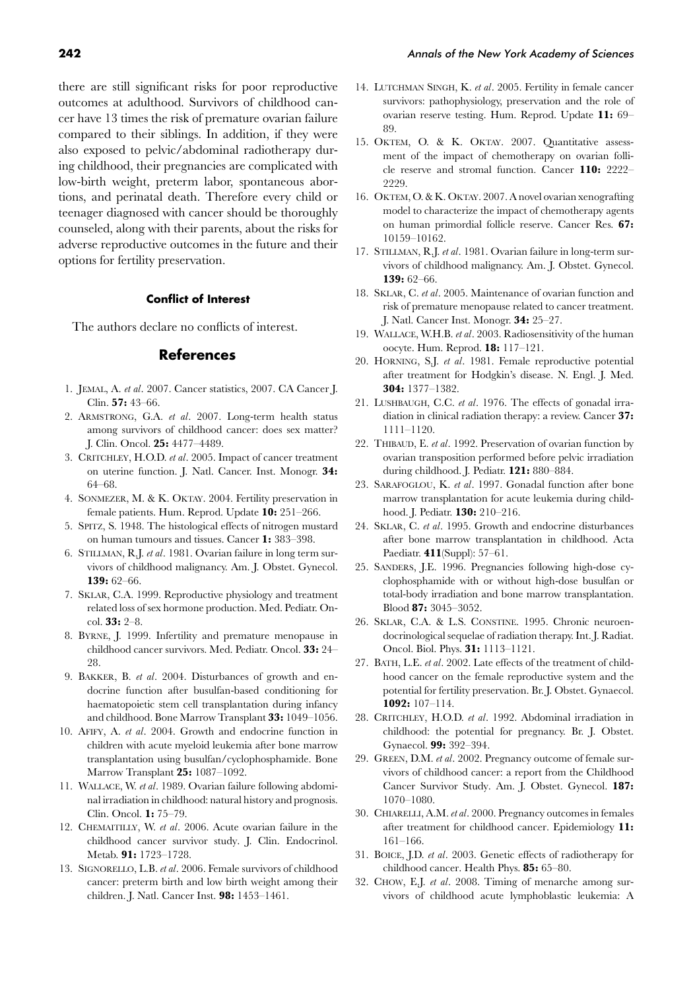there are still significant risks for poor reproductive outcomes at adulthood. Survivors of childhood cancer have 13 times the risk of premature ovarian failure compared to their siblings. In addition, if they were also exposed to pelvic/abdominal radiotherapy during childhood, their pregnancies are complicated with low-birth weight, preterm labor, spontaneous abortions, and perinatal death. Therefore every child or teenager diagnosed with cancer should be thoroughly counseled, along with their parents, about the risks for adverse reproductive outcomes in the future and their options for fertility preservation.

#### **Conflict of Interest**

The authors declare no conflicts of interest.

#### **References**

- 1. JEMAL, A. *et al*. 2007. Cancer statistics, 2007. CA Cancer J. Clin. **57:** 43–66.
- 2. ARMSTRONG, G.A. *et al*. 2007. Long-term health status among survivors of childhood cancer: does sex matter? J. Clin. Oncol. **25:** 4477–4489.
- 3. CRITCHLEY, H.O.D. *et al*. 2005. Impact of cancer treatment on uterine function. J. Natl. Cancer. Inst. Monogr. **34:** 64–68.
- 4. SONMEZER, M. & K. OKTAY. 2004. Fertility preservation in female patients. Hum. Reprod. Update **10:** 251–266.
- 5. SPITZ, S. 1948. The histological effects of nitrogen mustard on human tumours and tissues. Cancer **1:** 383–398.
- 6. STILLMAN, R.J. *et al*. 1981. Ovarian failure in long term survivors of childhood malignancy. Am. J. Obstet. Gynecol. **139:** 62–66.
- 7. SKLAR, C.A. 1999. Reproductive physiology and treatment related loss of sex hormone production. Med. Pediatr. Oncol. **33:** 2–8.
- 8. BYRNE, J. 1999. Infertility and premature menopause in childhood cancer survivors. Med. Pediatr. Oncol. **33:** 24– 28.
- 9. BAKKER, B. *et al*. 2004. Disturbances of growth and endocrine function after busulfan-based conditioning for haematopoietic stem cell transplantation during infancy and childhood. Bone Marrow Transplant **33:** 1049–1056.
- 10. AFIFY, A. *et al*. 2004. Growth and endocrine function in children with acute myeloid leukemia after bone marrow transplantation using busulfan/cyclophosphamide. Bone Marrow Transplant **25:** 1087–1092.
- 11. WALLACE, W. *et al*. 1989. Ovarian failure following abdominal irradiation in childhood: natural history and prognosis. Clin. Oncol. **1:** 75–79.
- 12. CHEMAITILLY, W. *et al*. 2006. Acute ovarian failure in the childhood cancer survivor study. J. Clin. Endocrinol. Metab. **91:** 1723–1728.
- 13. SIGNORELLO, L.B. *et al*. 2006. Female survivors of childhood cancer: preterm birth and low birth weight among their children. J. Natl. Cancer Inst. **98:** 1453–1461.
- 14. LUTCHMAN SINGH, K. *et al*. 2005. Fertility in female cancer survivors: pathophysiology, preservation and the role of ovarian reserve testing. Hum. Reprod. Update **11:** 69– 89.
- 15. OKTEM, O. & K. OKTAY. 2007. Quantitative assessment of the impact of chemotherapy on ovarian follicle reserve and stromal function. Cancer **110:** 2222– 2229
- 16. OKTEM, O. & K. OKTAY. 2007. A novel ovarian xenografting model to characterize the impact of chemotherapy agents on human primordial follicle reserve. Cancer Res. **67:** 10159–10162.
- 17. STILLMAN, R.J. *et al*. 1981. Ovarian failure in long-term survivors of childhood malignancy. Am. J. Obstet. Gynecol. **139:** 62–66.
- 18. SKLAR, C. *et al*. 2005. Maintenance of ovarian function and risk of premature menopause related to cancer treatment. J. Natl. Cancer Inst. Monogr. **34:** 25–27.
- 19. WALLACE, W.H.B. *et al*. 2003. Radiosensitivity of the human oocyte. Hum. Reprod. **18:** 117–121.
- 20. HORNING, S.J. *et al*. 1981. Female reproductive potential after treatment for Hodgkin's disease. N. Engl. J. Med. **304:** 1377–1382.
- 21. LUSHBAUGH, C.C. *et al*. 1976. The effects of gonadal irradiation in clinical radiation therapy: a review. Cancer **37:** 1111–1120.
- 22. THIBAUD, E. *et al*. 1992. Preservation of ovarian function by ovarian transposition performed before pelvic irradiation during childhood. J. Pediatr. **121:** 880–884.
- 23. SARAFOGLOU, K. *et al*. 1997. Gonadal function after bone marrow transplantation for acute leukemia during childhood. J. Pediatr. **130:** 210–216.
- 24. SKLAR, C. *et al*. 1995. Growth and endocrine disturbances after bone marrow transplantation in childhood. Acta Paediatr. **411**(Suppl): 57–61.
- 25. SANDERS, J.E. 1996. Pregnancies following high-dose cyclophosphamide with or without high-dose busulfan or total-body irradiation and bone marrow transplantation. Blood **87:** 3045–3052.
- 26. SKLAR, C.A. & L.S. CONSTINE. 1995. Chronic neuroendocrinological sequelae of radiation therapy. Int. J. Radiat. Oncol. Biol. Phys. **31:** 1113–1121.
- 27. BATH, L.E. *et al*. 2002. Late effects of the treatment of childhood cancer on the female reproductive system and the potential for fertility preservation. Br. J. Obstet. Gynaecol. **1092:** 107–114.
- 28. CRITCHLEY, H.O.D. *et al*. 1992. Abdominal irradiation in childhood: the potential for pregnancy. Br. J. Obstet. Gynaecol. **99:** 392–394.
- 29. GREEN, D.M. *et al*. 2002. Pregnancy outcome of female survivors of childhood cancer: a report from the Childhood Cancer Survivor Study. Am. J. Obstet. Gynecol. **187:** 1070–1080.
- 30. CHIARELLI, A.M. *et al*. 2000. Pregnancy outcomes in females after treatment for childhood cancer. Epidemiology **11:** 161–166.
- 31. BOICE, J.D. *et al*. 2003. Genetic effects of radiotherapy for childhood cancer. Health Phys. **85:** 65–80.
- 32. CHOW, E.J. *et al*. 2008. Timing of menarche among survivors of childhood acute lymphoblastic leukemia: A